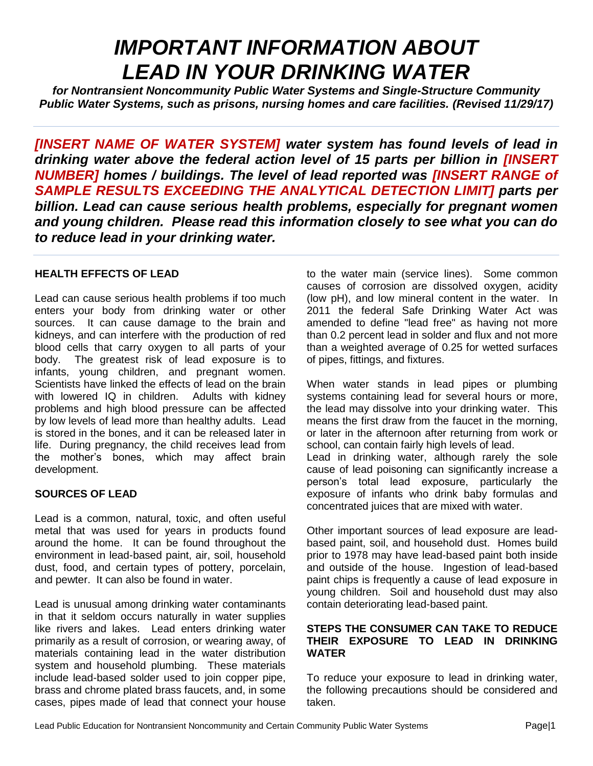# *IMPORTANT INFORMATION ABOUT LEAD IN YOUR DRINKING WATER*

*for Nontransient Noncommunity Public Water Systems and Single-Structure Community Public Water Systems, such as prisons, nursing homes and care facilities. (Revised 11/29/17)*

*[INSERT NAME OF WATER SYSTEM] water system has found levels of lead in drinking water above the federal action level of 15 parts per billion in [INSERT NUMBER] homes / buildings. The level of lead reported was [INSERT RANGE of SAMPLE RESULTS EXCEEDING THE ANALYTICAL DETECTION LIMIT] parts per billion. Lead can cause serious health problems, especially for pregnant women and young children. Please read this information closely to see what you can do to reduce lead in your drinking water.*

### **HEALTH EFFECTS OF LEAD**

Lead can cause serious health problems if too much enters your body from drinking water or other sources. It can cause damage to the brain and kidneys, and can interfere with the production of red blood cells that carry oxygen to all parts of your body. The greatest risk of lead exposure is to infants, young children, and pregnant women. Scientists have linked the effects of lead on the brain with lowered IQ in children. Adults with kidney problems and high blood pressure can be affected by low levels of lead more than healthy adults. Lead is stored in the bones, and it can be released later in life. During pregnancy, the child receives lead from the mother's bones, which may affect brain development.

# **SOURCES OF LEAD**

Lead is a common, natural, toxic, and often useful metal that was used for years in products found around the home. It can be found throughout the environment in lead-based paint, air, soil, household dust, food, and certain types of pottery, porcelain, and pewter. It can also be found in water.

Lead is unusual among drinking water contaminants in that it seldom occurs naturally in water supplies like rivers and lakes. Lead enters drinking water primarily as a result of corrosion, or wearing away, of materials containing lead in the water distribution system and household plumbing. These materials include lead-based solder used to join copper pipe, brass and chrome plated brass faucets, and, in some cases, pipes made of lead that connect your house

to the water main (service lines). Some common causes of corrosion are dissolved oxygen, acidity (low pH), and low mineral content in the water. In 2011 the federal Safe Drinking Water Act was amended to define "lead free" as having not more than 0.2 percent lead in solder and flux and not more than a weighted average of 0.25 for wetted surfaces of pipes, fittings, and fixtures.

When water stands in lead pipes or plumbing systems containing lead for several hours or more, the lead may dissolve into your drinking water. This means the first draw from the faucet in the morning, or later in the afternoon after returning from work or school, can contain fairly high levels of lead. Lead in drinking water, although rarely the sole cause of lead poisoning can significantly increase a person's total lead exposure, particularly the exposure of infants who drink baby formulas and concentrated juices that are mixed with water.

Other important sources of lead exposure are leadbased paint, soil, and household dust. Homes build prior to 1978 may have lead-based paint both inside and outside of the house. Ingestion of lead-based paint chips is frequently a cause of lead exposure in young children. Soil and household dust may also contain deteriorating lead-based paint.

#### **STEPS THE CONSUMER CAN TAKE TO REDUCE THEIR EXPOSURE TO LEAD IN DRINKING WATER**

To reduce your exposure to lead in drinking water, the following precautions should be considered and taken.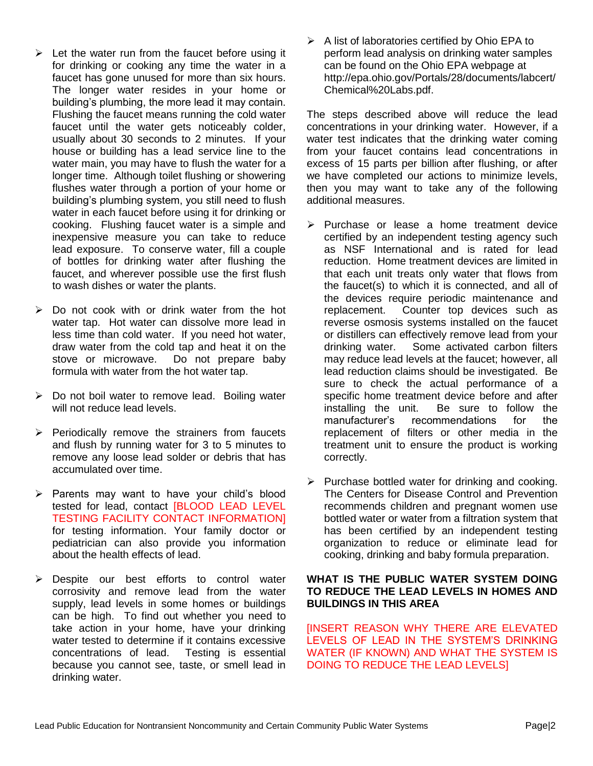- $\triangleright$  Let the water run from the faucet before using it for drinking or cooking any time the water in a faucet has gone unused for more than six hours. The longer water resides in your home or building's plumbing, the more lead it may contain. Flushing the faucet means running the cold water faucet until the water gets noticeably colder, usually about 30 seconds to 2 minutes. If your house or building has a lead service line to the water main, you may have to flush the water for a longer time. Although toilet flushing or showering flushes water through a portion of your home or building's plumbing system, you still need to flush water in each faucet before using it for drinking or cooking. Flushing faucet water is a simple and inexpensive measure you can take to reduce lead exposure. To conserve water, fill a couple of bottles for drinking water after flushing the faucet, and wherever possible use the first flush to wash dishes or water the plants.
- $\triangleright$  Do not cook with or drink water from the hot water tap. Hot water can dissolve more lead in less time than cold water. If you need hot water, draw water from the cold tap and heat it on the stove or microwave. Do not prepare baby formula with water from the hot water tap.
- $\triangleright$  Do not boil water to remove lead. Boiling water will not reduce lead levels.
- $\triangleright$  Periodically remove the strainers from faucets and flush by running water for 3 to 5 minutes to remove any loose lead solder or debris that has accumulated over time.
- ➢ Parents may want to have your child's blood tested for lead, contact [BLOOD LEAD LEVEL TESTING FACILITY CONTACT INFORMATION] for testing information. Your family doctor or pediatrician can also provide you information about the health effects of lead.
- ➢ Despite our best efforts to control water corrosivity and remove lead from the water supply, lead levels in some homes or buildings can be high. To find out whether you need to take action in your home, have your drinking water tested to determine if it contains excessive concentrations of lead. Testing is essential because you cannot see, taste, or smell lead in drinking water.

 $\triangleright$  A list of laboratories certified by Ohio EPA to perform lead analysis on drinking water samples can be found on the Ohio EPA webpage at http://epa.ohio.gov/Portals/28/documents/labcert/ Chemical%20Labs.pdf.

The steps described above will reduce the lead concentrations in your drinking water. However, if a water test indicates that the drinking water coming from your faucet contains lead concentrations in excess of 15 parts per billion after flushing, or after we have completed our actions to minimize levels, then you may want to take any of the following additional measures.

- ➢ Purchase or lease a home treatment device certified by an independent testing agency such as NSF International and is rated for lead reduction. Home treatment devices are limited in that each unit treats only water that flows from the faucet(s) to which it is connected, and all of the devices require periodic maintenance and replacement. Counter top devices such as reverse osmosis systems installed on the faucet or distillers can effectively remove lead from your drinking water. Some activated carbon filters may reduce lead levels at the faucet; however, all lead reduction claims should be investigated. Be sure to check the actual performance of a specific home treatment device before and after installing the unit. Be sure to follow the manufacturer's recommendations for the replacement of filters or other media in the treatment unit to ensure the product is working correctly.
- $\triangleright$  Purchase bottled water for drinking and cooking. The Centers for Disease Control and Prevention recommends children and pregnant women use bottled water or water from a filtration system that has been certified by an independent testing organization to reduce or eliminate lead for cooking, drinking and baby formula preparation.

#### **WHAT IS THE PUBLIC WATER SYSTEM DOING TO REDUCE THE LEAD LEVELS IN HOMES AND BUILDINGS IN THIS AREA**

[INSERT REASON WHY THERE ARE ELEVATED LEVELS OF LEAD IN THE SYSTEM'S DRINKING WATER (IF KNOWN) AND WHAT THE SYSTEM IS DOING TO REDUCE THE LEAD LEVELS]